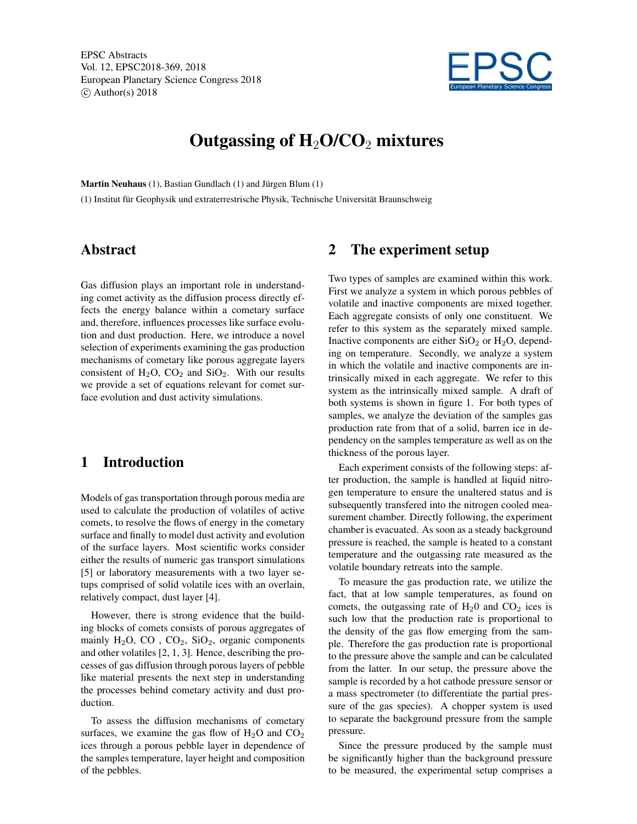

# Outgassing of  $H_2O/CO_2$  mixtures

Martin Neuhaus (1), Bastian Gundlach (1) and Jürgen Blum (1)

(1) Institut für Geophysik und extraterrestrische Physik, Technische Universität Braunschweig

#### Abstract

Gas diffusion plays an important role in understanding comet activity as the diffusion process directly effects the energy balance within a cometary surface and, therefore, influences processes like surface evolution and dust production. Here, we introduce a novel selection of experiments examining the gas production mechanisms of cometary like porous aggregate layers consistent of  $H_2O$ ,  $CO_2$  and  $SiO_2$ . With our results we provide a set of equations relevant for comet surface evolution and dust activity simulations.

## 1 Introduction

Models of gas transportation through porous media are used to calculate the production of volatiles of active comets, to resolve the flows of energy in the cometary surface and finally to model dust activity and evolution of the surface layers. Most scientific works consider either the results of numeric gas transport simulations [5] or laboratory measurements with a two layer setups comprised of solid volatile ices with an overlain, relatively compact, dust layer [4].

However, there is strong evidence that the building blocks of comets consists of porous aggregates of mainly  $H_2O$ ,  $CO$ ,  $CO_2$ ,  $SiO_2$ , organic components and other volatiles [2, 1, 3]. Hence, describing the processes of gas diffusion through porous layers of pebble like material presents the next step in understanding the processes behind cometary activity and dust production.

To assess the diffusion mechanisms of cometary surfaces, we examine the gas flow of  $H_2O$  and  $CO_2$ ices through a porous pebble layer in dependence of the samples temperature, layer height and composition of the pebbles.

## 2 The experiment setup

Two types of samples are examined within this work. First we analyze a system in which porous pebbles of volatile and inactive components are mixed together. Each aggregate consists of only one constituent. We refer to this system as the separately mixed sample. Inactive components are either  $SiO<sub>2</sub>$  or  $H<sub>2</sub>O$ , depending on temperature. Secondly, we analyze a system in which the volatile and inactive components are intrinsically mixed in each aggregate. We refer to this system as the intrinsically mixed sample. A draft of both systems is shown in figure 1. For both types of samples, we analyze the deviation of the samples gas production rate from that of a solid, barren ice in dependency on the samples temperature as well as on the thickness of the porous layer.

Each experiment consists of the following steps: after production, the sample is handled at liquid nitrogen temperature to ensure the unaltered status and is subsequently transfered into the nitrogen cooled measurement chamber. Directly following, the experiment chamber is evacuated. As soon as a steady background pressure is reached, the sample is heated to a constant temperature and the outgassing rate measured as the volatile boundary retreats into the sample.

To measure the gas production rate, we utilize the fact, that at low sample temperatures, as found on comets, the outgassing rate of  $H_2$ 0 and  $CO_2$  ices is such low that the production rate is proportional to the density of the gas flow emerging from the sample. Therefore the gas production rate is proportional to the pressure above the sample and can be calculated from the latter. In our setup, the pressure above the sample is recorded by a hot cathode pressure sensor or a mass spectrometer (to differentiate the partial pressure of the gas species). A chopper system is used to separate the background pressure from the sample pressure.

Since the pressure produced by the sample must be significantly higher than the background pressure to be measured, the experimental setup comprises a